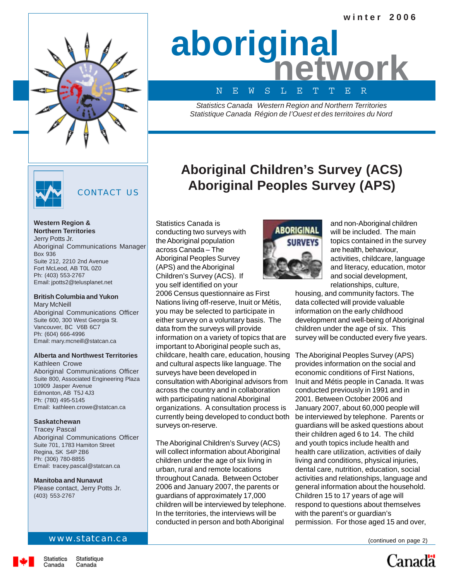

# **aboriginal network** N E W S L E T T E R

*Statistics Canada Western Region and Northern Territories Statistique Canada Région de I'Ouest et des territoires du Nord*

**Aboriginal Children's Survey (ACS)**

**Aboriginal Peoples Survey (APS)**



# CONTACT US

Statistics Canada is

conducting two surveys with the Aboriginal population across Canada – The Aboriginal Peoples Survey (APS) and the Aboriginal Children's Survey (ACS). If you self identified on your

2006 Census questionnaire as First Nations living off-reserve, Inuit or Métis, you may be selected to participate in either survey on a voluntary basis. The data from the surveys will provide

information on a variety of topics that are important to Aboriginal people such as, childcare, health care, education, housing and cultural aspects like language. The

consultation with Aboriginal advisors from across the country and in collaboration with participating national Aboriginal organizations. A consultation process is currently being developed to conduct both

The Aboriginal Children's Survey (ACS) will collect information about Aboriginal children under the age of six living in urban, rural and remote locations throughout Canada. Between October 2006 and January 2007, the parents or guardians of approximately 17,000 children will be interviewed by telephone. In the territories, the interviews will be conducted in person and both Aboriginal

surveys have been developed in

surveys on-reserve.

**Western Region & Northern Territories** Jerry Potts Jr. Aboriginal Communications Manager Box 936 Suite 212, 2210 2nd Avenue Fort McLeod, AB T0L 0Z0 Ph: (403) 553-2767 Email: jpotts2@telusplanet.net

# **British Columbia and Yukon**

Mary McNeill Aboriginal Communications Officer Suite 600, 300 West Georgia St. Vancouver, BC V6B 6C7 Ph: (604) 666-4996 Email: mary.mcneill@statcan.ca

### **Alberta and Northwest Territories** Kathleen Crowe

Aboriginal Communications Officer Suite 800, Associated Engineering Plaza 10909 Jasper Avenue Edmonton, AB T5J 4J3 Ph: (780) 495-5145 Email: kathleen.crowe@statcan.ca

### **Saskatchewan**

Tracey Pascal Aboriginal Communications Officer Suite 701, 1783 Hamiton Street Regina, SK S4P 2B6 Ph: (306) 780-8855 Email: tracey.pascal@statcan.ca

## **Manitoba and Nunavut**

Please contact, Jerry Potts Jr. (403) 553-2767

### www.statcan.ca

# ABORIGINAL

and non-Aboriginal children will be included. The main topics contained in the survey are health, behaviour, activities, childcare, language and literacy, education, motor and social development, relationships, culture,

housing, and community factors. The data collected will provide valuable information on the early childhood development and well-being of Aboriginal children under the age of six. This survey will be conducted every five years.

The Aboriginal Peoples Survey (APS) provides information on the social and economic conditions of First Nations, Inuit and Métis people in Canada. It was conducted previously in 1991 and in 2001. Between October 2006 and January 2007, about 60,000 people will be interviewed by telephone. Parents or guardians will be asked questions about their children aged 6 to 14. The child and youth topics include health and health care utilization, activities of daily living and conditions, physical injuries, dental care, nutrition, education, social activities and relationships, language and general information about the household. Children 15 to 17 years of age will respond to questions about themselves with the parent's or guardian's permission. For those aged 15 and over,

(continued on page 2)

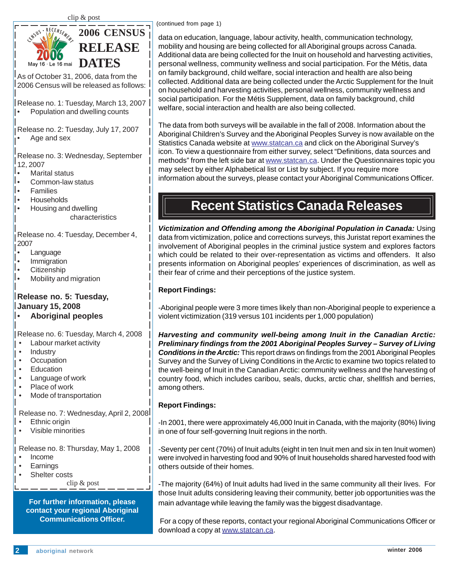

As of October 31, 2006, data from the 2006 Census will be released as follows:

Release no. 1: Tuesday, March 13, 2007

• Population and dwelling counts

Release no. 2: Tuesday, July 17, 2007 Age and sex

Release no. 3: Wednesday, September 12, 2007

- ।∙ Marital status<br>│∙ Common-law⊹
- Common-law status
- Families
- Households
- Housing and dwelling characteristics

Release no. 4: Tuesday, December 4, 2007

- Language
- Immigration
- └● Citizenship<br>│● Mobility and
- Mobility and migration

# **Release no. 5: Tuesday, January 15, 2008**

• **Aboriginal peoples**

Release no. 6: Tuesday, March 4, 2008

- Labour market activity
- Industry
- **Occupation**
- **Education**
- Language of work
- Place of work
- Mode of transportation

Release no. 7: Wednesday, April 2, 2008

- Ethnic origin
- Visible minorities

Release no. 8: Thursday, May 1, 2008

- Income
- **Earnings**
- Shelter costs

clip & post

# **For further information, please contact your regional Aboriginal Communications Officer.**

(continued from page 1)

data on education, language, labour activity, health, communication technology, mobility and housing are being collected for all Aboriginal groups across Canada. Additional data are being collected for the Inuit on household and harvesting activities, personal wellness, community wellness and social participation. For the Métis, data on family background, child welfare, social interaction and health are also being collected. Additional data are being collected under the Arctic Supplement for the Inuit on household and harvesting activities, personal wellness, community wellness and social participation. For the Métis Supplement, data on family background, child welfare, social interaction and health are also being collected.

The data from both surveys will be available in the fall of 2008. Information about the Aboriginal Children's Survey and the Aboriginal Peoples Survey is now available on the Statistics Canada website at www.statcan.ca and click on the Aboriginal Survey's icon. To view a questionnaire from either survey, select "Definitions, data sources and methods" from the left side bar at www.statcan.ca. Under the Questionnaires topic you may select by either Alphabetical list or List by subject. If you require more information about the surveys, please contact your Aboriginal Communications Officer.

# **Recent Statistics Canada Releases**

*Victimization and Offending among the Aboriginal Population in Canada:* Using data from victimization, police and corrections surveys, this Juristat report examines the involvement of Aboriginal peoples in the criminal justice system and explores factors which could be related to their over-representation as victims and offenders. It also presents information on Aboriginal peoples' experiences of discrimination, as well as their fear of crime and their perceptions of the justice system.

# **Report Findings:**

-Aboriginal people were 3 more times likely than non-Aboriginal people to experience a violent victimization (319 versus 101 incidents per 1,000 population)

**Did** *Harvesting and community well-being among Inuit in the Canadian Arctic:* **Conditions in the Arctic:** This report draws on findings from the 2001 Aboriginal Peoples<br>Survey and the Survey of Living Conditions in the Arctic to examine two topics related to country food, which includes caribou, seals, ducks, arctic char, shellfish and berries,<br>among others. *Preliminary findings from the 2001 Aboriginal Peoples Survey – Survey of Living* Survey and the Survey of Living Conditions in the Arctic to examine two topics related to the well-being of Inuit in the Canadian Arctic: community wellness and the harvesting of among others.

# **Report Findings:**

-In 2001, there were approximately 46,000 Inuit in Canada, with the majority (80%) living in one of four self-governing Inuit regions in the north.

-Seventy per cent (70%) of Inuit adults (eight in ten Inuit men and six in ten Inuit women) were involved in harvesting food and 90% of Inuit households shared harvested food with others outside of their homes.

-The majority (64%) of Inuit adults had lived in the same community all their lives. For those Inuit adults considering leaving their community, better job opportunities was the main advantage while leaving the family was the biggest disadvantage.

 For a copy of these reports, contact your regional Aboriginal Communications Officer or download a copy at www.statcan.ca.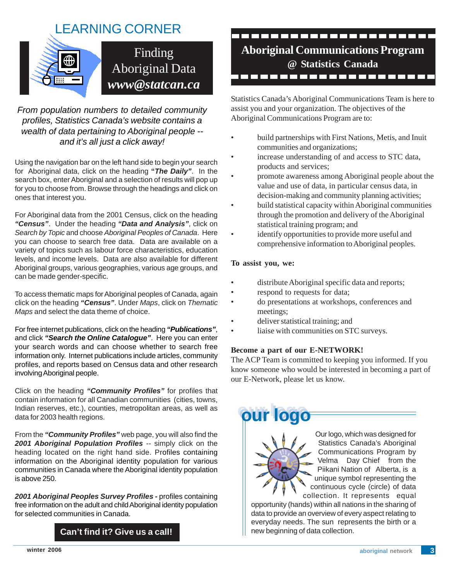# LEARNING CORNER



*From population numbers to detailed community profiles, Statistics Canada's website contains a wealth of data pertaining to Aboriginal people - and it's all just a click away!*

Using the navigation bar on the left hand side to begin your search for Aboriginal data, click on the heading **"***The Daily"*. In the search box, enter Aboriginal and a selection of results will pop up for you to choose from. Browse through the headings and click on ones that interest you.

For Aboriginal data from the 2001 Census, click on the heading *"Census"*. Under the heading *"Data and Analysis"*, click on *Search by Topic* and choose *Aboriginal Peoples of Canada*. Here you can choose to search free data. Data are available on a variety of topics such as labour force characteristics, education levels, and income levels. Data are also available for different Aboriginal groups, various geographies, various age groups, and can be made gender-specific.

To access thematic maps for Aboriginal peoples of Canada, again click on the heading *"Census"*. Under *Maps*, click on *Thematic Maps* and select the data theme of choice.

For free internet publications, click on the heading *"Publications"*, and click *"Search the Online Catalogue"*. Here you can enter your search words and can choose whether to search free information only. Internet publications include articles, community profiles, and reports based on Census data and other research involving Aboriginal people.

Click on the heading *"Community Profiles"* for profiles that contain information for all Canadian communities (cities, towns, Indian reserves, etc.), counties, metropolitan areas, as well as data for 2003 health regions.

From the *"Community Profiles"* web page, you will also find the 2001 Aboriginal Population Profiles -- simply click on the heading located on the right hand side. Profiles containing information on the Aboriginal identity population for various communities in Canada where the Aboriginal identity population is above 250.

*2001 Aboriginal Peoples Survey Profiles -* profiles containing free information on the adult and child Aboriginal identity population for selected communities in Canada.

**Can't find it? Give us a call!**

# ,,,,,,,,,,,,,,,,,, **Aboriginal Communications Program @ Statistics Canada** -------------------

Statistics Canada's Aboriginal Communications Team is here to assist you and your organization. The objectives of the Aboriginal Communications Program are to:

- build partnerships with First Nations, Metis, and Inuit communities and organizations;
- increase understanding of and access to STC data, products and services;
- promote awareness among Aboriginal people about the value and use of data, in particular census data, in decision-making and community planning activities;
- build statistical capacity within Aboriginal communities through the promotion and delivery of the Aboriginal statistical training program; and
- identify opportunities to provide more useful and comprehensive information to Aboriginal peoples.

# **To assist you, we:**

- distribute Aboriginal specific data and reports;
- respond to requests for data;
- do presentations at workshops, conferences and meetings;
- deliver statistical training; and
- liaise with communities on STC surveys.

# **Become a part of our E-NETWORK!**

The ACP Team is committed to keeping you informed. If you know someone who would be interested in becoming a part of our E-Network, please let us know.

**our logo our logo our logo our logo**

 Our logo, which was designed for Statistics Canada's Aboriginal Communications Program by Velma Day Chief from the Piikani Nation of Alberta, is a unique symbol representing the continuous cycle (circle) of data collection. It represents equal

opportunity (hands) within all nations in the sharing of data to provide an overview of every aspect relating to everyday needs. The sun represents the birth or a new beginning of data collection.